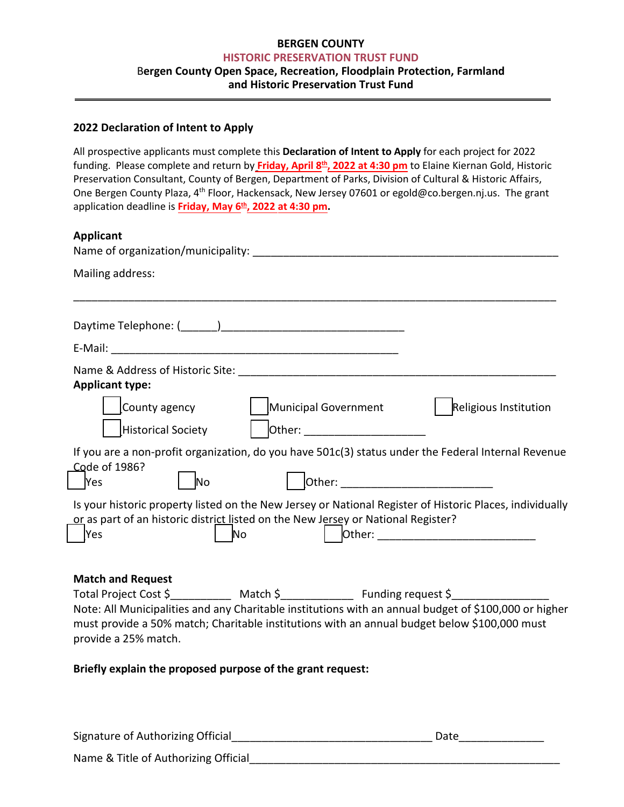# **BERGEN COUNTY HISTORIC PRESERVATION TRUST FUND** B**ergen County Open Space, Recreation, Floodplain Protection, Farmland and Historic Preservation Trust Fund**

#### **2022 Declaration of Intent to Apply**

All prospective applicants must complete this **Declaration of Intent to Apply** for each project for 2022 funding. Please complete and return by **Friday, April 8 th , 2022 at 4:30 pm** to Elaine Kiernan Gold, Historic Preservation Consultant, County of Bergen, Department of Parks, Division of Cultural & Historic Affairs, One Bergen County Plaza, 4<sup>th</sup> Floor, Hackensack, New Jersey 07601 or egold@co.bergen.nj.us. The grant application deadline is **Friday, May 6 th , 2022 at 4:30 pm.**

# **Applicant**

| <b>Applicative</b>                                                                                                                                                                                                                                                                                                                                             |
|----------------------------------------------------------------------------------------------------------------------------------------------------------------------------------------------------------------------------------------------------------------------------------------------------------------------------------------------------------------|
| Mailing address:                                                                                                                                                                                                                                                                                                                                               |
|                                                                                                                                                                                                                                                                                                                                                                |
|                                                                                                                                                                                                                                                                                                                                                                |
|                                                                                                                                                                                                                                                                                                                                                                |
| <b>Applicant type:</b>                                                                                                                                                                                                                                                                                                                                         |
| Municipal Government<br>Religious Institution<br>County agency<br>Other: _____________________<br>Historical Society                                                                                                                                                                                                                                           |
| If you are a non-profit organization, do you have 501c(3) status under the Federal Internal Revenue<br>Code of 1986?<br><b>Yes</b><br><b>No</b>                                                                                                                                                                                                                |
| Is your historic property listed on the New Jersey or National Register of Historic Places, individually<br>or as part of an historic district listed on the New Jersey or National Register?<br> Yes<br>No                                                                                                                                                    |
| <b>Match and Request</b><br>Total Project Cost \$______________ Match \$_________________ Funding request \$_________________<br>Note: All Municipalities and any Charitable institutions with an annual budget of \$100,000 or higher<br>must provide a 50% match; Charitable institutions with an annual budget below \$100,000 must<br>provide a 25% match. |
| Briefly explain the proposed purpose of the grant request:                                                                                                                                                                                                                                                                                                     |

| Signature of Authorizing Official    | Date |
|--------------------------------------|------|
| Name & Title of Authorizing Official |      |